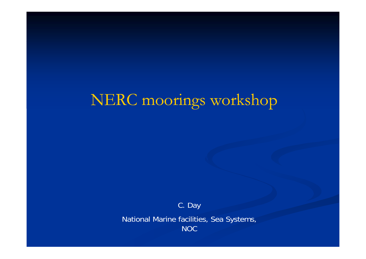## NERC moorings workshop

C. Day

National Marine facilities, Sea Systems, **NOC**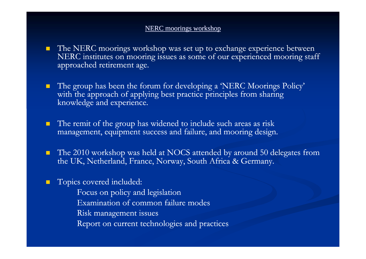## NERC moorings workshop

- **The NERC moorings workshop was set up to exchange experience between** NERC institutes on mooring issues as some of our experienced mooring staff approached retirement age.
- П The group has been the forum for developing a 'NERC Moorings Policy' with the approach of applying best practice principles from sharing knowledge and experience.
- $\blacksquare$  $\blacksquare$  The remit of the group has widened to include such areas as risk management, equipment success and failure, and mooring design.
- $\blacksquare$  The 2010 workshop was held at NOCS attended by around 50 delegates from the UK, Netherland, France, Norway, South Africa & Germany.
- П Topics covered included:
	- Focus on policy and legislation Examination of common failure modes
	- Risk management issues
	- Report on current technologies and practices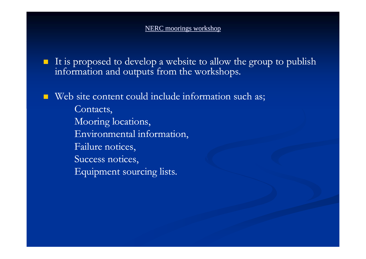## NERC moorings workshop

- $\blacksquare$  It is proposed to develop a website to allow the group to publish information and outputs from the workshops.
- Web site content could include information such as; Contacts, Mooring locations, Environmental information, Failure notices, Success notices, Equipment sourcing lists.